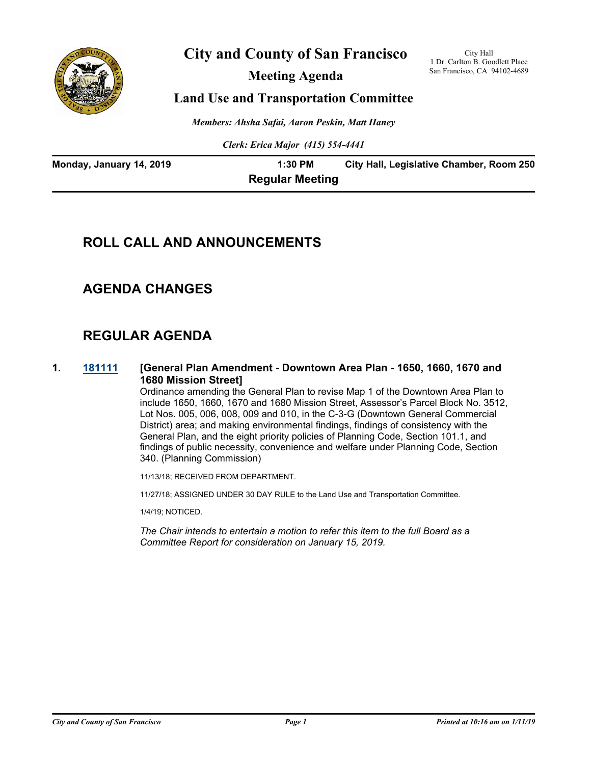

# **City and County of San Francisco**

**Meeting Agenda**

City Hall 1 Dr. Carlton B. Goodlett Place San Francisco, CA 94102-4689

## **Land Use and Transportation Committee**

*Members: Ahsha Safai, Aaron Peskin, Matt Haney*

*Clerk: Erica Major (415) 554-4441*

| Monday, January 14, 2019 | 1:30 PM                | City Hall, Legislative Chamber, Room 250 |
|--------------------------|------------------------|------------------------------------------|
|                          | <b>Regular Meeting</b> |                                          |

# **ROLL CALL AND ANNOUNCEMENTS**

# **AGENDA CHANGES**

# **REGULAR AGENDA**

**1. [181111](http://sfgov.legistar.com/gateway.aspx?m=l&id=33980) [General Plan Amendment - Downtown Area Plan - 1650, 1660, 1670 and 1680 Mission Street]**

Ordinance amending the General Plan to revise Map 1 of the Downtown Area Plan to include 1650, 1660, 1670 and 1680 Mission Street, Assessor's Parcel Block No. 3512, Lot Nos. 005, 006, 008, 009 and 010, in the C-3-G (Downtown General Commercial District) area; and making environmental findings, findings of consistency with the General Plan, and the eight priority policies of Planning Code, Section 101.1, and findings of public necessity, convenience and welfare under Planning Code, Section 340. (Planning Commission)

11/13/18; RECEIVED FROM DEPARTMENT.

11/27/18; ASSIGNED UNDER 30 DAY RULE to the Land Use and Transportation Committee.

1/4/19; NOTICED.

*The Chair intends to entertain a motion to refer this item to the full Board as a Committee Report for consideration on January 15, 2019.*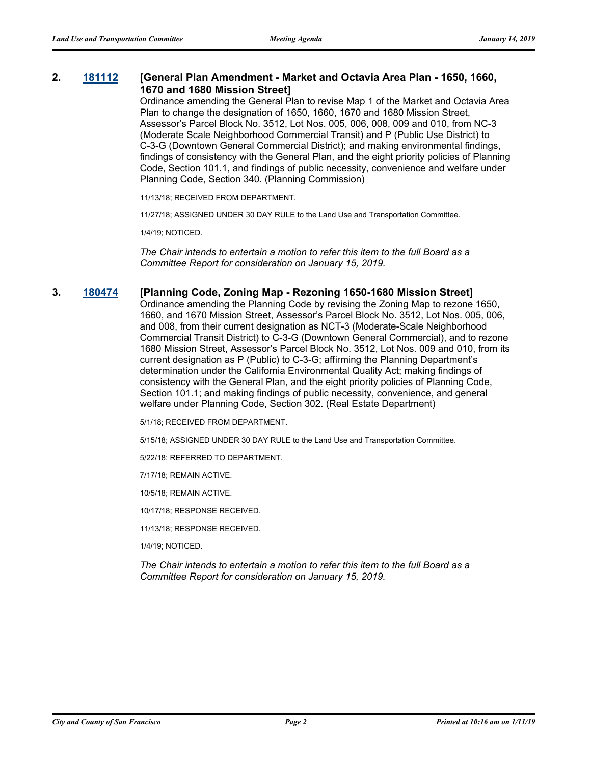#### **2. [181112](http://sfgov.legistar.com/gateway.aspx?m=l&id=33981) [General Plan Amendment - Market and Octavia Area Plan - 1650, 1660, 1670 and 1680 Mission Street]**

Ordinance amending the General Plan to revise Map 1 of the Market and Octavia Area Plan to change the designation of 1650, 1660, 1670 and 1680 Mission Street, Assessor's Parcel Block No. 3512, Lot Nos. 005, 006, 008, 009 and 010, from NC-3 (Moderate Scale Neighborhood Commercial Transit) and P (Public Use District) to C-3-G (Downtown General Commercial District); and making environmental findings, findings of consistency with the General Plan, and the eight priority policies of Planning Code, Section 101.1, and findings of public necessity, convenience and welfare under Planning Code, Section 340. (Planning Commission)

11/13/18; RECEIVED FROM DEPARTMENT.

11/27/18; ASSIGNED UNDER 30 DAY RULE to the Land Use and Transportation Committee.

1/4/19; NOTICED.

*The Chair intends to entertain a motion to refer this item to the full Board as a Committee Report for consideration on January 15, 2019.*

#### **3. [180474](http://sfgov.legistar.com/gateway.aspx?m=l&id=33343) [Planning Code, Zoning Map - Rezoning 1650-1680 Mission Street]**

Ordinance amending the Planning Code by revising the Zoning Map to rezone 1650, 1660, and 1670 Mission Street, Assessor's Parcel Block No. 3512, Lot Nos. 005, 006, and 008, from their current designation as NCT-3 (Moderate-Scale Neighborhood Commercial Transit District) to C-3-G (Downtown General Commercial), and to rezone 1680 Mission Street, Assessor's Parcel Block No. 3512, Lot Nos. 009 and 010, from its current designation as P (Public) to C-3-G; affirming the Planning Department's determination under the California Environmental Quality Act; making findings of consistency with the General Plan, and the eight priority policies of Planning Code, Section 101.1; and making findings of public necessity, convenience, and general welfare under Planning Code, Section 302. (Real Estate Department)

5/1/18; RECEIVED FROM DEPARTMENT.

5/15/18; ASSIGNED UNDER 30 DAY RULE to the Land Use and Transportation Committee.

5/22/18; REFERRED TO DEPARTMENT.

7/17/18; REMAIN ACTIVE.

10/5/18; REMAIN ACTIVE.

10/17/18; RESPONSE RECEIVED.

11/13/18; RESPONSE RECEIVED.

1/4/19; NOTICED.

*The Chair intends to entertain a motion to refer this item to the full Board as a Committee Report for consideration on January 15, 2019.*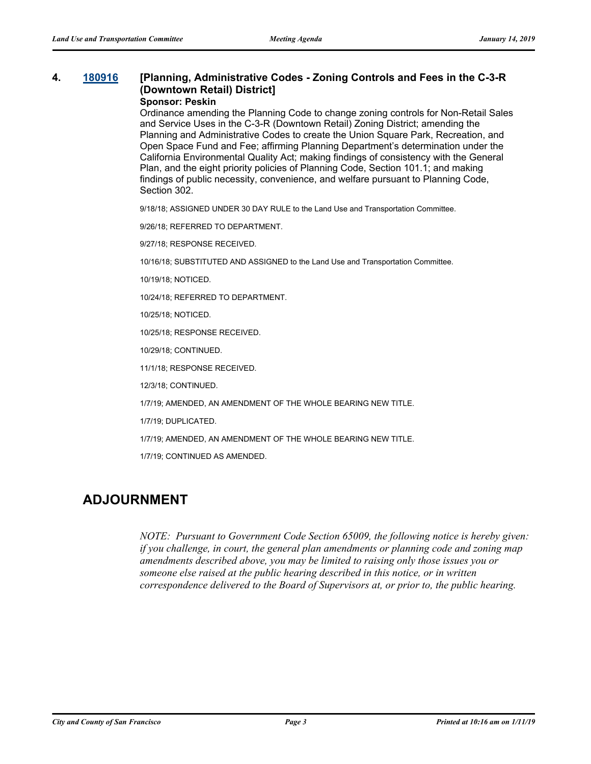# **4. [180916](http://sfgov.legistar.com/gateway.aspx?m=l&id=33785) [Planning, Administrative Codes - Zoning Controls and Fees in the C-3-R (Downtown Retail) District]**

#### **Sponsor: Peskin**

Ordinance amending the Planning Code to change zoning controls for Non-Retail Sales and Service Uses in the C-3-R (Downtown Retail) Zoning District; amending the Planning and Administrative Codes to create the Union Square Park, Recreation, and Open Space Fund and Fee; affirming Planning Department's determination under the California Environmental Quality Act; making findings of consistency with the General Plan, and the eight priority policies of Planning Code, Section 101.1; and making findings of public necessity, convenience, and welfare pursuant to Planning Code, Section 302.

9/18/18; ASSIGNED UNDER 30 DAY RULE to the Land Use and Transportation Committee.

9/26/18; REFERRED TO DEPARTMENT.

9/27/18; RESPONSE RECEIVED.

10/16/18; SUBSTITUTED AND ASSIGNED to the Land Use and Transportation Committee.

10/19/18; NOTICED.

10/24/18; REFERRED TO DEPARTMENT.

10/25/18; NOTICED.

10/25/18; RESPONSE RECEIVED.

10/29/18; CONTINUED.

11/1/18; RESPONSE RECEIVED.

12/3/18; CONTINUED.

1/7/19; AMENDED, AN AMENDMENT OF THE WHOLE BEARING NEW TITLE.

1/7/19; DUPLICATED.

1/7/19; AMENDED, AN AMENDMENT OF THE WHOLE BEARING NEW TITLE.

1/7/19; CONTINUED AS AMENDED.

## **ADJOURNMENT**

*NOTE: Pursuant to Government Code Section 65009, the following notice is hereby given: if you challenge, in court, the general plan amendments or planning code and zoning map amendments described above, you may be limited to raising only those issues you or someone else raised at the public hearing described in this notice, or in written correspondence delivered to the Board of Supervisors at, or prior to, the public hearing.*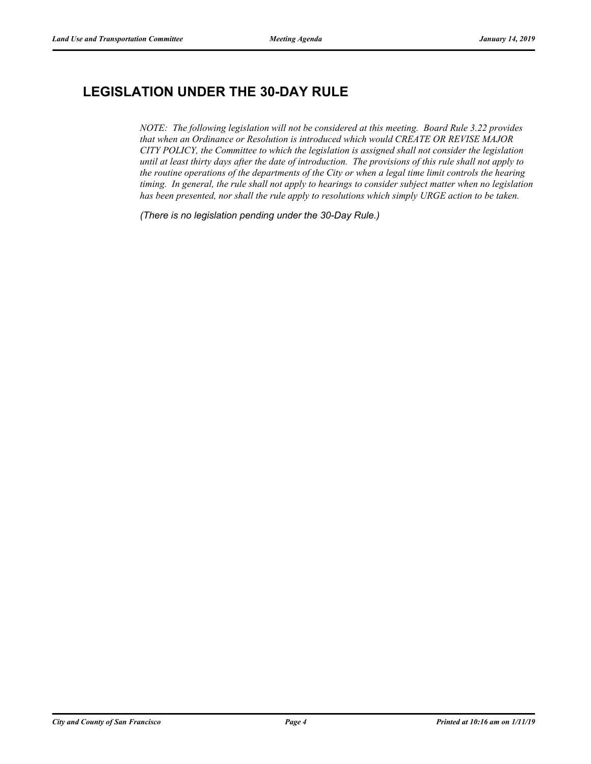# **LEGISLATION UNDER THE 30-DAY RULE**

*NOTE: The following legislation will not be considered at this meeting. Board Rule 3.22 provides that when an Ordinance or Resolution is introduced which would CREATE OR REVISE MAJOR CITY POLICY, the Committee to which the legislation is assigned shall not consider the legislation until at least thirty days after the date of introduction. The provisions of this rule shall not apply to the routine operations of the departments of the City or when a legal time limit controls the hearing timing. In general, the rule shall not apply to hearings to consider subject matter when no legislation has been presented, nor shall the rule apply to resolutions which simply URGE action to be taken.*

*(There is no legislation pending under the 30-Day Rule.)*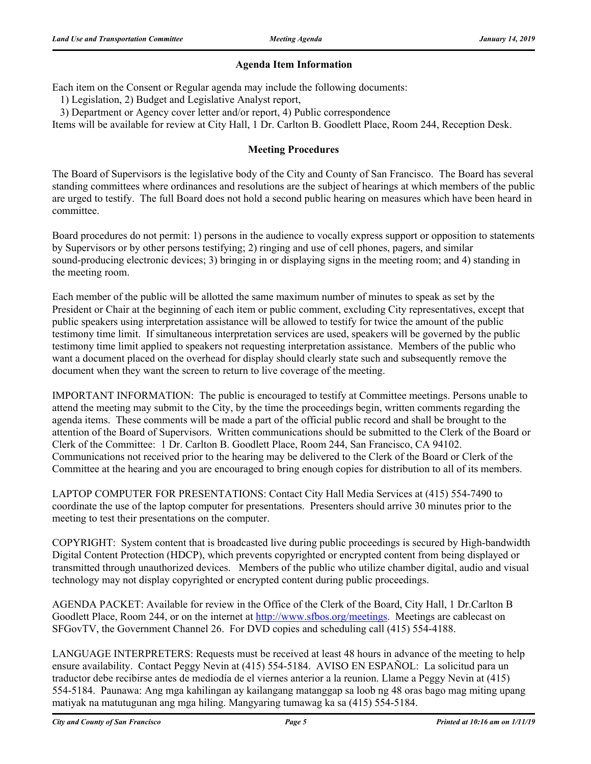### **Agenda Item Information**

Each item on the Consent or Regular agenda may include the following documents:

1) Legislation, 2) Budget and Legislative Analyst report,

3) Department or Agency cover letter and/or report, 4) Public correspondence

Items will be available for review at City Hall, 1 Dr. Carlton B. Goodlett Place, Room 244, Reception Desk.

#### **Meeting Procedures**

The Board of Supervisors is the legislative body of the City and County of San Francisco. The Board has several standing committees where ordinances and resolutions are the subject of hearings at which members of the public are urged to testify. The full Board does not hold a second public hearing on measures which have been heard in committee.

Board procedures do not permit: 1) persons in the audience to vocally express support or opposition to statements by Supervisors or by other persons testifying; 2) ringing and use of cell phones, pagers, and similar sound-producing electronic devices; 3) bringing in or displaying signs in the meeting room; and 4) standing in the meeting room.

Each member of the public will be allotted the same maximum number of minutes to speak as set by the President or Chair at the beginning of each item or public comment, excluding City representatives, except that public speakers using interpretation assistance will be allowed to testify for twice the amount of the public testimony time limit. If simultaneous interpretation services are used, speakers will be governed by the public testimony time limit applied to speakers not requesting interpretation assistance. Members of the public who want a document placed on the overhead for display should clearly state such and subsequently remove the document when they want the screen to return to live coverage of the meeting.

IMPORTANT INFORMATION: The public is encouraged to testify at Committee meetings. Persons unable to attend the meeting may submit to the City, by the time the proceedings begin, written comments regarding the agenda items. These comments will be made a part of the official public record and shall be brought to the attention of the Board of Supervisors. Written communications should be submitted to the Clerk of the Board or Clerk of the Committee: 1 Dr. Carlton B. Goodlett Place, Room 244, San Francisco, CA 94102. Communications not received prior to the hearing may be delivered to the Clerk of the Board or Clerk of the Committee at the hearing and you are encouraged to bring enough copies for distribution to all of its members.

LAPTOP COMPUTER FOR PRESENTATIONS: Contact City Hall Media Services at (415) 554-7490 to coordinate the use of the laptop computer for presentations. Presenters should arrive 30 minutes prior to the meeting to test their presentations on the computer.

COPYRIGHT: System content that is broadcasted live during public proceedings is secured by High-bandwidth Digital Content Protection (HDCP), which prevents copyrighted or encrypted content from being displayed or transmitted through unauthorized devices. Members of the public who utilize chamber digital, audio and visual technology may not display copyrighted or encrypted content during public proceedings.

AGENDA PACKET: Available for review in the Office of the Clerk of the Board, City Hall, 1 Dr.Carlton B Goodlett Place, Room 244, or on the internet at http://www.sfbos.org/meetings. Meetings are cablecast on SFGovTV, the Government Channel 26. For DVD copies and scheduling call (415) 554-4188.

LANGUAGE INTERPRETERS: Requests must be received at least 48 hours in advance of the meeting to help ensure availability. Contact Peggy Nevin at (415) 554-5184. AVISO EN ESPAÑOL: La solicitud para un traductor debe recibirse antes de mediodía de el viernes anterior a la reunion. Llame a Peggy Nevin at (415) 554-5184. Paunawa: Ang mga kahilingan ay kailangang matanggap sa loob ng 48 oras bago mag miting upang matiyak na matutugunan ang mga hiling. Mangyaring tumawag ka sa (415) 554-5184.